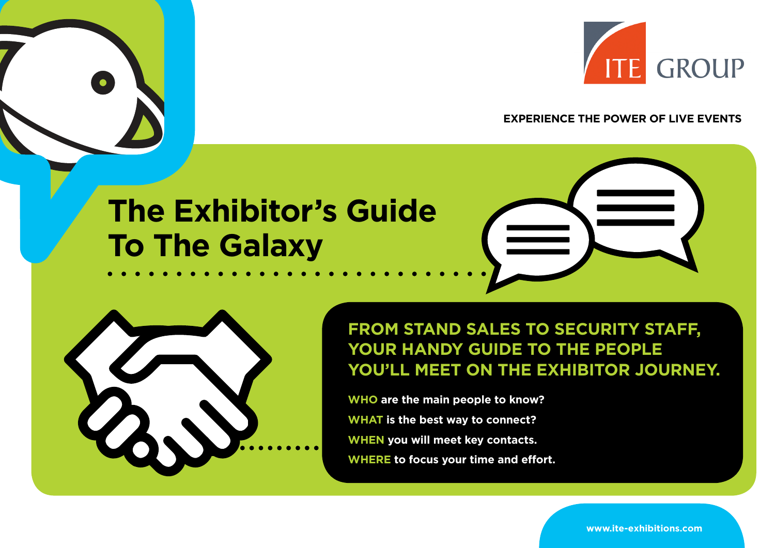

**EXPERIENCE THE POWER OF LIVE EVENTS**

# **The Exhibitor's Guide To The Galaxy**





**FROM STAND SALES TO SECURITY STAFF, YOUR HANDY GUIDE TO THE PEOPLE YOU'LL MEET ON THE EXHIBITOR JOURNEY.**

**WHO are the main people to know? WHAT is the best way to connect? WHEN you will meet key contacts. WHERE to focus your time and effort.**

**www.ite-exhibitions.com**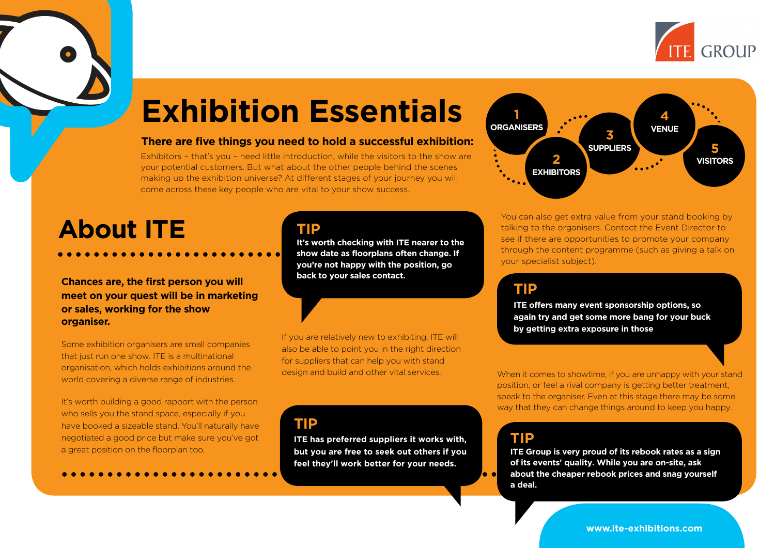

# **Exhibition Essentials**

#### **There are five things you need to hold a successful exhibition:**

Exhibitors – that's you – need little introduction, while the visitors to the show are your potential customers. But what about the other people behind the scenes making up the exhibition universe? At different stages of your journey you will come across these key people who are vital to your show success.

## **About ITE**

**Chances are, the first person you will meet on your quest will be in marketing or sales, working for the show organiser.** 

Some exhibition organisers are small companies that just run one show. ITE is a multinational organisation, which holds exhibitions around the world covering a diverse range of industries.

It's worth building a good rapport with the person who sells you the stand space, especially if you have booked a sizeable stand. You'll naturally have negotiated a good price but make sure you've got a great position on the floorplan too.

#### **TIP**

**It's worth checking with ITE nearer to the show date as floorplans often change. If you're not happy with the position, go back to your sales contact.**

If you are relatively new to exhibiting, ITE will also be able to point you in the right direction for suppliers that can help you with stand

#### **TIP**

**ITE has preferred suppliers it works with, but you are free to seek out others if you feel they'll work better for your needs.**



You can also get extra value from your stand booking by talking to the organisers. Contact the Event Director to see if there are opportunities to promote your company through the content programme (such as giving a talk on your specialist subject).

#### **TIP**

**ITE offers many event sponsorship options, so again try and get some more bang for your buck by getting extra exposure in those**

design and build and other vital services. When it comes to showtime, if you are unhappy with your stand position, or feel a rival company is getting better treatment, speak to the organiser. Even at this stage there may be some way that they can change things around to keep you happy.

### **TIP**

 $\bullet$ 

**ITE Group is very proud of its rebook rates as a sign of its events' quality. While you are on-site, ask about the cheaper rebook prices and snag yourself a deal.**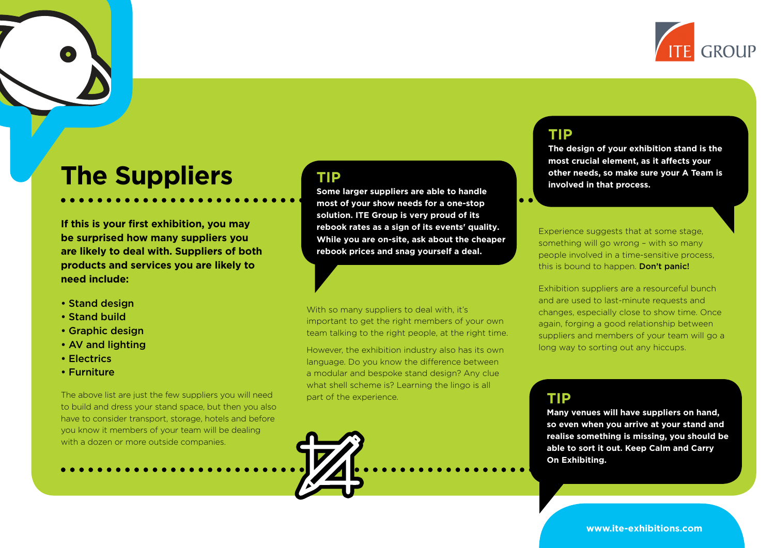

## **The Suppliers**

**If this is your first exhibition, you may be surprised how many suppliers you are likely to deal with. Suppliers of both products and services you are likely to need include:**

- Stand design
- Stand build
- Graphic design
- AV and lighting
- Electrics
- Furniture

The above list are just the few suppliers you will need to build and dress your stand space, but then you also have to consider transport, storage, hotels and before you know it members of your team will be dealing with a dozen or more outside companies.

#### **TIP**

**Some larger suppliers are able to handle most of your show needs for a one-stop solution. ITE Group is very proud of its rebook rates as a sign of its events' quality. While you are on-site, ask about the cheaper rebook prices and snag yourself a deal.**

With so many suppliers to deal with, it's important to get the right members of your own team talking to the right people, at the right time.

However, the exhibition industry also has its own language. Do you know the difference between a modular and bespoke stand design? Any clue what shell scheme is? Learning the lingo is all part of the experience.

### **TIP**

**The design of your exhibition stand is the most crucial element, as it affects your other needs, so make sure your A Team is involved in that process.**

Experience suggests that at some stage, something will go wrong – with so many people involved in a time-sensitive process, this is bound to happen. Don't panic!

Exhibition suppliers are a resourceful bunch and are used to last-minute requests and changes, especially close to show time. Once again, forging a good relationship between suppliers and members of your team will go a long way to sorting out any hiccups.

#### **TIP**

**Many venues will have suppliers on hand, so even when you arrive at your stand and realise something is missing, you should be able to sort it out. Keep Calm and Carry On Exhibiting.**

**www.ite-exhibitions.com**